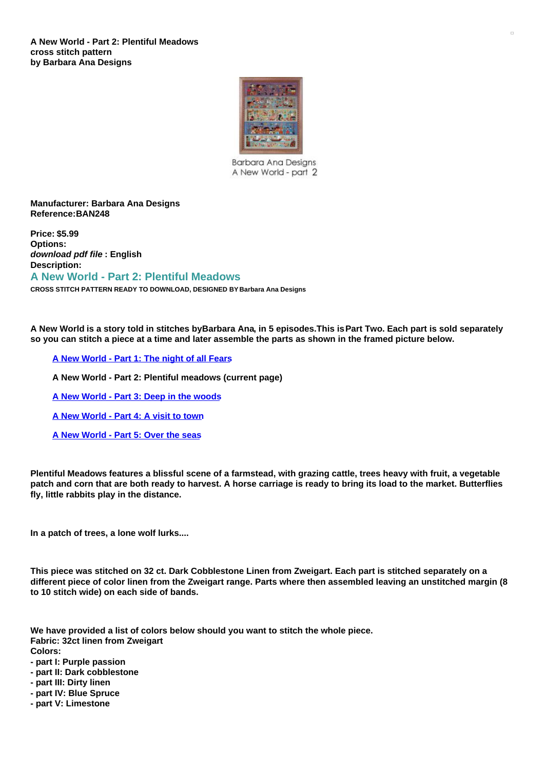

**Barbara Ana Desians** A New World - part 2

## **Manufacturer: Barbara Ana Designs Reference:BAN248**

**Price: \$5.99 Options:** *download pdf file* **: English Description:**

## **A New World - Part 2: Plentiful Meadows**

**CROSS STITCH PATTERN READY TO DOWNLOAD, DESIGNED BY Barbara Ana Designs**

A New World is a story told in stitches byBarbara Ana, in 5 episodes. This is Part Two. Each part is sold separately so you can stitch a piece at a time and later assemble the parts as shown in the framed picture below.

**A New [World](https://www.creativepoppypatterns.com/barbara-designs-world-part-night-fears-cross-stitch-xml-214_234-2891.html) - Part 1: The night of all Fears**

**A New World - Part 2: Plentiful meadows (current page)**

**A New [World](https://www.creativepoppypatterns.com/barbara-designs-world-part-deep-woods-cross-stitch-xml-211_275-2903.html) - Part 3: Deep in the woods**

**A New [World](https://www.creativepoppypatterns.com/barbara-designs-world-part-visit-town-cross-stitch-xml-212_280-2916.html) - Part 4: A visit to town**

**A New [World](https://www.creativepoppypatterns.com/barbara-designs-world-part-over-seas-cross-stitch-xml-211_277-2917.html) - Part 5: Over the seas**

Plentiful Meadows features a blissful scene of a farmstead, with grazing cattle, trees heavy with fruit, a vegetable patch and corn that are both ready to harvest. A horse carriage is ready to bring its load to the market. Butterflies **fly, little rabbits play in the distance.**

**In a patch of trees, a lone wolf lurks....**

This piece was stitched on 32 ct. Dark Cobblestone Linen from Zweigart. Each part is stitched separately on a different piece of color linen from the Zweigart range. Parts where then assembled leaving an unstitched margin (8 **to 10 stitch wide) on each side of bands.**

**We have provided a list of colors below should you want to stitch the whole piece. Fabric: 32ct linen from Zweigart Colors:**

- **- part I: Purple passion**
- **- part II: Dark cobblestone**
- **- part III: Dirty linen**
- **- part IV: Blue Spruce**
- **- part V: Limestone**